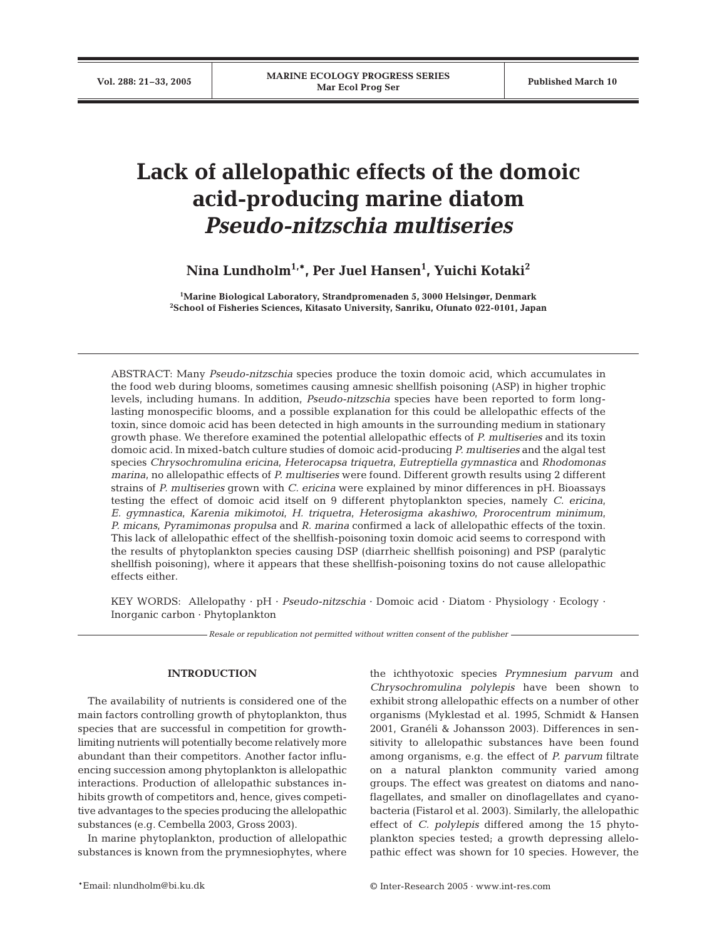# **Lack of allelopathic effects of the domoic acid-producing marine diatom**  *Pseudo-nitzschia multiseries*

**Nina Lundholm1,\*, Per Juel Hansen1 , Yuichi Kotaki2**

**1 Marine Biological Laboratory, Strandpromenaden 5, 3000 Helsingør, Denmark 2 School of Fisheries Sciences, Kitasato University, Sanriku, Ofunato 022-0101, Japan**

ABSTRACT: Many *Pseudo-nitzschia* species produce the toxin domoic acid, which accumulates in the food web during blooms, sometimes causing amnesic shellfish poisoning (ASP) in higher trophic levels, including humans. In addition, *Pseudo-nitzschia* species have been reported to form longlasting monospecific blooms, and a possible explanation for this could be allelopathic effects of the toxin, since domoic acid has been detected in high amounts in the surrounding medium in stationary growth phase. We therefore examined the potential allelopathic effects of *P. multiseries* and its toxin domoic acid. In mixed-batch culture studies of domoic acid-producing *P. multiseries* and the algal test species *Chrysochromulina ericina*, *Heterocapsa triquetra*, *Eutreptiella gymnastica* and *Rhodomonas marina*, no allelopathic effects of *P. multiseries* were found. Different growth results using 2 different strains of *P. multiseries* grown with *C. ericina* were explained by minor differences in pH. Bioassays testing the effect of domoic acid itself on 9 different phytoplankton species, namely *C. ericina*, *E. gymnastica*, *Karenia mikimotoi*, *H. triquetra*, *Heterosigma akashiwo*, *Prorocentrum minimum*, *P. micans*, *Pyramimonas propulsa* and *R. marina* confirmed a lack of allelopathic effects of the toxin. This lack of allelopathic effect of the shellfish-poisoning toxin domoic acid seems to correspond with the results of phytoplankton species causing DSP (diarrheic shellfish poisoning) and PSP (paralytic shellfish poisoning), where it appears that these shellfish-poisoning toxins do not cause allelopathic effects either.

KEY WORDS: Allelopathy · pH · *Pseudo-nitzschia* · Domoic acid · Diatom · Physiology · Ecology · Inorganic carbon · Phytoplankton

*Resale or republication not permitted without written consent of the publisher*

## **INTRODUCTION**

The availability of nutrients is considered one of the main factors controlling growth of phytoplankton, thus species that are successful in competition for growthlimiting nutrients will potentially become relatively more abundant than their competitors. Another factor influencing succession among phytoplankton is allelopathic interactions. Production of allelopathic substances inhibits growth of competitors and, hence, gives competitive advantages to the species producing the allelopathic substances (e.g. Cembella 2003, Gross 2003).

In marine phytoplankton, production of allelopathic substances is known from the prymnesiophytes, where

the ichthyotoxic species *Prymnesium parvum* and *Chrysochromulina polylepis* have been shown to exhibit strong allelopathic effects on a number of other organisms (Myklestad et al. 1995, Schmidt & Hansen 2001, Granéli & Johansson 2003). Differences in sensitivity to allelopathic substances have been found among organisms, e.g. the effect of *P. parvum* filtrate on a natural plankton community varied among groups. The effect was greatest on diatoms and nanoflagellates, and smaller on dinoflagellates and cyanobacteria (Fistarol et al. 2003). Similarly, the allelopathic effect of *C. polylepis* differed among the 15 phytoplankton species tested; a growth depressing allelopathic effect was shown for 10 species. However, the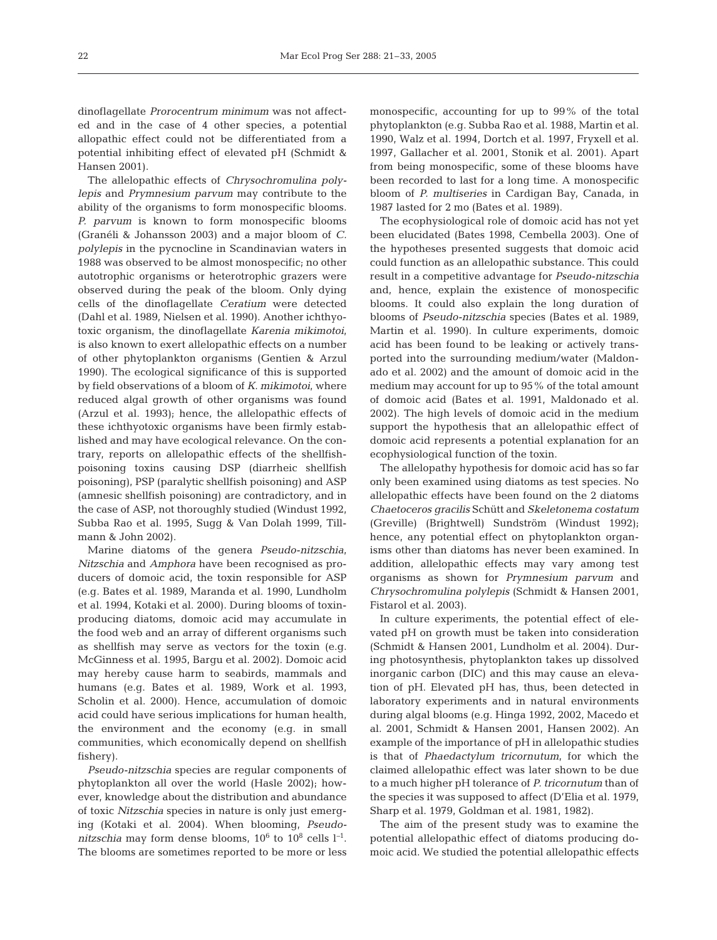dinoflagellate *Prorocentrum minimum* was not affected and in the case of 4 other species, a potential allopathic effect could not be differentiated from a potential inhibiting effect of elevated pH (Schmidt & Hansen 2001).

The allelopathic effects of *Chrysochromulina polylepis* and *Prymnesium parvum* may contribute to the ability of the organisms to form monospecific blooms. *P. parvum* is known to form monospecific blooms (Granéli & Johansson 2003) and a major bloom of *C. polylepis* in the pycnocline in Scandinavian waters in 1988 was observed to be almost monospecific; no other autotrophic organisms or heterotrophic grazers were observed during the peak of the bloom. Only dying cells of the dinoflagellate *Ceratium* were detected (Dahl et al. 1989, Nielsen et al. 1990). Another ichthyotoxic organism, the dinoflagellate *Karenia mikimotoi*, is also known to exert allelopathic effects on a number of other phytoplankton organisms (Gentien & Arzul 1990). The ecological significance of this is supported by field observations of a bloom of *K. mikimotoi*, where reduced algal growth of other organisms was found (Arzul et al. 1993); hence, the allelopathic effects of these ichthyotoxic organisms have been firmly established and may have ecological relevance. On the contrary, reports on allelopathic effects of the shellfishpoisoning toxins causing DSP (diarrheic shellfish poisoning), PSP (paralytic shellfish poisoning) and ASP (amnesic shellfish poisoning) are contradictory, and in the case of ASP, not thoroughly studied (Windust 1992, Subba Rao et al. 1995, Sugg & Van Dolah 1999, Tillmann & John 2002).

Marine diatoms of the genera *Pseudo-nitzschia*, *Nitzschia* and *Amphora* have been recognised as producers of domoic acid, the toxin responsible for ASP (e.g. Bates et al. 1989, Maranda et al. 1990, Lundholm et al. 1994, Kotaki et al. 2000). During blooms of toxinproducing diatoms, domoic acid may accumulate in the food web and an array of different organisms such as shellfish may serve as vectors for the toxin (e.g. McGinness et al. 1995, Bargu et al. 2002). Domoic acid may hereby cause harm to seabirds, mammals and humans (e.g. Bates et al. 1989, Work et al. 1993, Scholin et al. 2000). Hence, accumulation of domoic acid could have serious implications for human health, the environment and the economy (e.g. in small communities, which economically depend on shellfish fishery).

*Pseudo-nitzschia* species are regular components of phytoplankton all over the world (Hasle 2002); however, knowledge about the distribution and abundance of toxic *Nitzschia* species in nature is only just emerging (Kotaki et al. 2004). When blooming, *Pseudonitzschia* may form dense blooms, 106 to 108 cells l*–*<sup>1</sup> . The blooms are sometimes reported to be more or less

monospecific, accounting for up to 99% of the total phytoplankton (e.g. Subba Rao et al. 1988, Martin et al. 1990, Walz et al. 1994, Dortch et al. 1997, Fryxell et al. 1997, Gallacher et al. 2001, Stonik et al. 2001). Apart from being monospecific, some of these blooms have been recorded to last for a long time. A monospecific bloom of *P. multiseries* in Cardigan Bay, Canada, in 1987 lasted for 2 mo (Bates et al. 1989).

The ecophysiological role of domoic acid has not yet been elucidated (Bates 1998, Cembella 2003). One of the hypotheses presented suggests that domoic acid could function as an allelopathic substance. This could result in a competitive advantage for *Pseudo-nitzschia* and, hence, explain the existence of monospecific blooms. It could also explain the long duration of blooms of *Pseudo-nitzschia* species (Bates et al. 1989, Martin et al. 1990). In culture experiments, domoic acid has been found to be leaking or actively transported into the surrounding medium/water (Maldonado et al. 2002) and the amount of domoic acid in the medium may account for up to 95% of the total amount of domoic acid (Bates et al. 1991, Maldonado et al. 2002). The high levels of domoic acid in the medium support the hypothesis that an allelopathic effect of domoic acid represents a potential explanation for an ecophysiological function of the toxin.

The allelopathy hypothesis for domoic acid has so far only been examined using diatoms as test species. No allelopathic effects have been found on the 2 diatoms *Chaetoceros gracilis* Schütt and *Skeletonema costatum* (Greville) (Brightwell) Sundström (Windust 1992); hence, any potential effect on phytoplankton organisms other than diatoms has never been examined. In addition, allelopathic effects may vary among test organisms as shown for *Prymnesium parvum* and *Chrysochromulina polylepis* (Schmidt & Hansen 2001, Fistarol et al. 2003).

In culture experiments, the potential effect of elevated pH on growth must be taken into consideration (Schmidt & Hansen 2001, Lundholm et al. 2004). During photosynthesis, phytoplankton takes up dissolved inorganic carbon (DIC) and this may cause an elevation of pH. Elevated pH has, thus, been detected in laboratory experiments and in natural environments during algal blooms (e.g. Hinga 1992, 2002, Macedo et al. 2001, Schmidt & Hansen 2001, Hansen 2002). An example of the importance of pH in allelopathic studies is that of *Phaedactylum tricornutum*, for which the claimed allelopathic effect was later shown to be due to a much higher pH tolerance of *P. tricornutum* than of the species it was supposed to affect (D'Elia et al. 1979, Sharp et al. 1979, Goldman et al. 1981, 1982).

The aim of the present study was to examine the potential allelopathic effect of diatoms producing domoic acid. We studied the potential allelopathic effects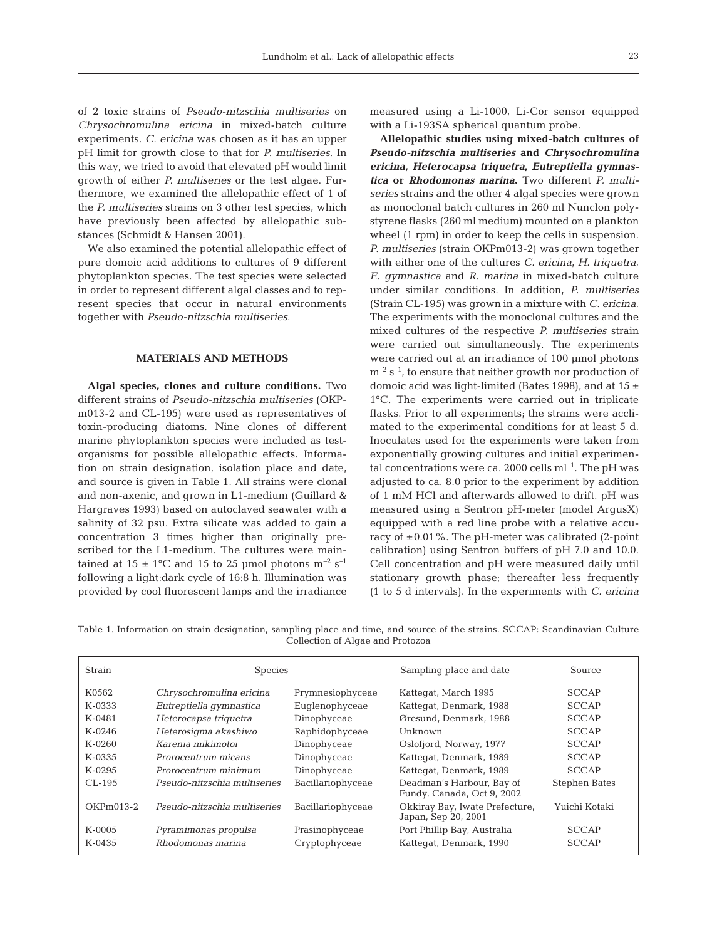of 2 toxic strains of *Pseudo-nitzschia multiseries* on *Chrysochromulina ericina* in mixed-batch culture experiments. *C. ericina* was chosen as it has an upper pH limit for growth close to that for *P. multiseries*. In this way, we tried to avoid that elevated pH would limit growth of either *P. multiseries* or the test algae. Furthermore, we examined the allelopathic effect of 1 of the *P. multiseries* strains on 3 other test species, which have previously been affected by allelopathic substances (Schmidt & Hansen 2001).

We also examined the potential allelopathic effect of pure domoic acid additions to cultures of 9 different phytoplankton species. The test species were selected in order to represent different algal classes and to represent species that occur in natural environments together with *Pseudo-nitzschia multiseries*.

# **MATERIALS AND METHODS**

**Algal species, clones and culture conditions.** Two different strains of *Pseudo-nitzschia multiseries* (OKPm013-2 and CL-195) were used as representatives of toxin-producing diatoms. Nine clones of different marine phytoplankton species were included as testorganisms for possible allelopathic effects. Information on strain designation, isolation place and date, and source is given in Table 1. All strains were clonal and non-axenic, and grown in L1-medium (Guillard & Hargraves 1993) based on autoclaved seawater with a salinity of 32 psu. Extra silicate was added to gain a concentration 3 times higher than originally prescribed for the L1-medium. The cultures were maintained at  $15 \pm 1$ °C and 15 to 25 µmol photons m<sup>-2</sup> s<sup>-1</sup> following a light:dark cycle of 16:8 h. Illumination was provided by cool fluorescent lamps and the irradiance measured using a Li-1000, Li-Cor sensor equipped with a Li-193SA spherical quantum probe.

**Allelopathic studies using mixed-batch cultures of** *Pseudo-nitzschia multiseries* **and** *Chrysochromulina ericina***,** *Heterocapsa triquetra***,** *Eutreptiella gymnastica* **or** *Rhodomonas marina***.** Two different *P. multiseries* strains and the other 4 algal species were grown as monoclonal batch cultures in 260 ml Nunclon polystyrene flasks (260 ml medium) mounted on a plankton wheel (1 rpm) in order to keep the cells in suspension. *P. multiseries* (strain OKPm013-2) was grown together with either one of the cultures *C. ericina*, *H. triquetra*, *E. gymnastica* and *R. marina* in mixed-batch culture under similar conditions. In addition, *P. multiseries* (Strain CL-195) was grown in a mixture with *C. ericina*. The experiments with the monoclonal cultures and the mixed cultures of the respective *P. multiseries* strain were carried out simultaneously. The experiments were carried out at an irradiance of 100 µmol photons m*–*<sup>2</sup> s*–*<sup>1</sup> , to ensure that neither growth nor production of domoic acid was light-limited (Bates 1998), and at 15  $\pm$ 1°C. The experiments were carried out in triplicate flasks. Prior to all experiments; the strains were acclimated to the experimental conditions for at least 5 d. Inoculates used for the experiments were taken from exponentially growing cultures and initial experimental concentrations were ca. 2000 cells ml*–*<sup>1</sup> . The pH was adjusted to ca. 8.0 prior to the experiment by addition of 1 mM HCl and afterwards allowed to drift. pH was measured using a Sentron pH-meter (model ArgusX) equipped with a red line probe with a relative accuracy of  $\pm 0.01$ %. The pH-meter was calibrated (2-point calibration) using Sentron buffers of pH 7.0 and 10.0. Cell concentration and pH were measured daily until stationary growth phase; thereafter less frequently (1 to 5 d intervals). In the experiments with *C. ericina*

Table 1. Information on strain designation, sampling place and time, and source of the strains. SCCAP: Scandinavian Culture Collection of Algae and Protozoa

| Strain    | <b>Species</b>               |                   | Sampling place and date                                 | Source               |
|-----------|------------------------------|-------------------|---------------------------------------------------------|----------------------|
| K0562     | Chrysochromulina ericina     | Prymnesiophyceae  | Kattegat, March 1995                                    | <b>SCCAP</b>         |
| $K-0.333$ | Eutreptiella gymnastica      | Euglenophyceae    | Kattegat, Denmark, 1988                                 | <b>SCCAP</b>         |
| $K-0481$  | Heterocapsa triquetra        | Dinophyceae       | Øresund, Denmark, 1988                                  | <b>SCCAP</b>         |
| $K-0246$  | Heterosigma akashiwo         | Raphidophyceae    | Unknown                                                 | <b>SCCAP</b>         |
| $K-0260$  | Karenia mikimotoi            | Dinophyceae       | Oslofjord, Norway, 1977                                 | <b>SCCAP</b>         |
| $K-0.335$ | Prorocentrum micans          | Dinophyceae       | Kattegat, Denmark, 1989                                 | <b>SCCAP</b>         |
| $K-0295$  | Prorocentrum minimum         | Dinophyceae       | Kattegat, Denmark, 1989                                 | <b>SCCAP</b>         |
| $CL-195$  | Pseudo-nitzschia multiseries | Bacillariophyceae | Deadman's Harbour, Bay of<br>Fundy, Canada, Oct 9, 2002 | <b>Stephen Bates</b> |
| OKPm013-2 | Pseudo-nitzschia multiseries | Bacillariophyceae | Okkiray Bay, Iwate Prefecture,<br>Japan, Sep 20, 2001   | Yuichi Kotaki        |
| $K-0005$  | Pyramimonas propulsa         | Prasinophyceae    | Port Phillip Bay, Australia                             | <b>SCCAP</b>         |
| $K-0435$  | Rhodomonas marina            | Cryptophyceae     | Kattegat, Denmark, 1990                                 | <b>SCCAP</b>         |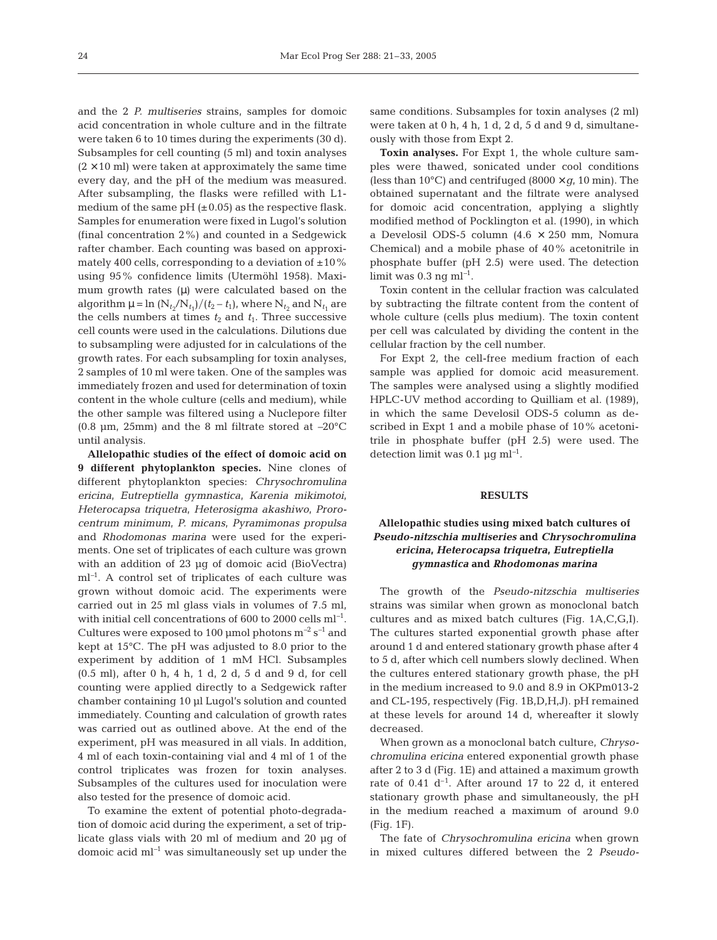and the 2 *P. multiseries* strains, samples for domoic acid concentration in whole culture and in the filtrate were taken 6 to 10 times during the experiments (30 d). Subsamples for cell counting (5 ml) and toxin analyses  $(2 \times 10$  ml) were taken at approximately the same time every day, and the pH of the medium was measured. After subsampling, the flasks were refilled with L1 medium of the same pH  $(\pm 0.05)$  as the respective flask. Samples for enumeration were fixed in Lugol's solution (final concentration 2%) and counted in a Sedgewick rafter chamber. Each counting was based on approximately 400 cells, corresponding to a deviation of  $\pm 10\%$ using 95% confidence limits (Utermöhl 1958). Maximum growth rates ( $\mu$ ) were calculated based on the algorithm  $\mu = \ln (N_{t_2}/N_{t_1})/(t_2 - t_1)$ , where  $N_{t_2}$  and  $N_{t_1}$  are the cells numbers at times  $t_2$  and  $t_1$ . Three successive cell counts were used in the calculations. Dilutions due to subsampling were adjusted for in calculations of the growth rates. For each subsampling for toxin analyses, 2 samples of 10 ml were taken. One of the samples was immediately frozen and used for determination of toxin content in the whole culture (cells and medium), while the other sample was filtered using a Nuclepore filter (0.8 µm, 25mm) and the 8 ml filtrate stored at *–*20°C until analysis.

**Allelopathic studies of the effect of domoic acid on 9 different phytoplankton species.** Nine clones of different phytoplankton species: *Chrysochromulina ericina*, *Eutreptiella gymnastica*, *Karenia mikimotoi*, *Heterocapsa triquetra*, *Heterosigma akashiwo*, *Prorocentrum minimum*, *P. micans*, *Pyramimonas propulsa* and *Rhodomonas marina* were used for the experiments. One set of triplicates of each culture was grown with an addition of 23 µg of domoic acid (BioVectra) ml*–*<sup>1</sup> . A control set of triplicates of each culture was grown without domoic acid. The experiments were carried out in 25 ml glass vials in volumes of 7.5 ml, with initial cell concentrations of 600 to 2000 cells ml*–*<sup>1</sup> . Cultures were exposed to 100 µmol photons m*–*<sup>2</sup> s*–*<sup>1</sup> and kept at 15°C. The pH was adjusted to 8.0 prior to the experiment by addition of 1 mM HCl. Subsamples (0.5 ml), after 0 h, 4 h, 1 d, 2 d, 5 d and 9 d, for cell counting were applied directly to a Sedgewick rafter chamber containing 10 µl Lugol's solution and counted immediately. Counting and calculation of growth rates was carried out as outlined above. At the end of the experiment, pH was measured in all vials. In addition, 4 ml of each toxin-containing vial and 4 ml of 1 of the control triplicates was frozen for toxin analyses. Subsamples of the cultures used for inoculation were also tested for the presence of domoic acid.

To examine the extent of potential photo-degradation of domoic acid during the experiment, a set of triplicate glass vials with 20 ml of medium and 20 µg of domoic acid ml*–*<sup>1</sup> was simultaneously set up under the

same conditions. Subsamples for toxin analyses (2 ml) were taken at 0 h, 4 h, 1 d, 2 d, 5 d and 9 d, simultaneously with those from Expt 2.

**Toxin analyses.** For Expt 1, the whole culture samples were thawed, sonicated under cool conditions (less than  $10^{\circ}$ C) and centrifuged (8000  $\times$  *g*, 10 min). The obtained supernatant and the filtrate were analysed for domoic acid concentration, applying a slightly modified method of Pocklington et al. (1990), in which a Develosil ODS-5 column  $(4.6 \times 250 \text{ mm}, \text{ Nomura})$ Chemical) and a mobile phase of 40% acetonitrile in phosphate buffer (pH 2.5) were used. The detection limit was 0.3 ng ml*–*<sup>1</sup> .

Toxin content in the cellular fraction was calculated by subtracting the filtrate content from the content of whole culture (cells plus medium). The toxin content per cell was calculated by dividing the content in the cellular fraction by the cell number.

For Expt 2, the cell-free medium fraction of each sample was applied for domoic acid measurement. The samples were analysed using a slightly modified HPLC-UV method according to Quilliam et al. (1989), in which the same Develosil ODS-5 column as described in Expt 1 and a mobile phase of 10% acetonitrile in phosphate buffer (pH 2.5) were used. The detection limit was 0.1 µg ml*–*<sup>1</sup> *.*

#### **RESULTS**

# **Allelopathic studies using mixed batch cultures of** *Pseudo-nitzschia multiseries* **and** *Chrysochromulina ericina***,** *Heterocapsa triquetra***,** *Eutreptiella gymnastica* **and** *Rhodomonas marina*

The growth of the *Pseudo-nitzschia multiseries* strains was similar when grown as monoclonal batch cultures and as mixed batch cultures (Fig. 1A,C,G,I). The cultures started exponential growth phase after around 1 d and entered stationary growth phase after 4 to 5 d, after which cell numbers slowly declined. When the cultures entered stationary growth phase, the pH in the medium increased to 9.0 and 8.9 in OKPm013-2 and CL-195, respectively (Fig. 1B,D,H,J). pH remained at these levels for around 14 d, whereafter it slowly decreased.

When grown as a monoclonal batch culture, *Chrysochromulina ericina* entered exponential growth phase after 2 to 3 d (Fig. 1E) and attained a maximum growth rate of  $0.41$  d<sup>-1</sup>. After around 17 to 22 d, it entered stationary growth phase and simultaneously, the pH in the medium reached a maximum of around 9.0 (Fig. 1F).

The fate of *Chrysochromulina ericina* when grown in mixed cultures differed between the 2 *Pseudo-*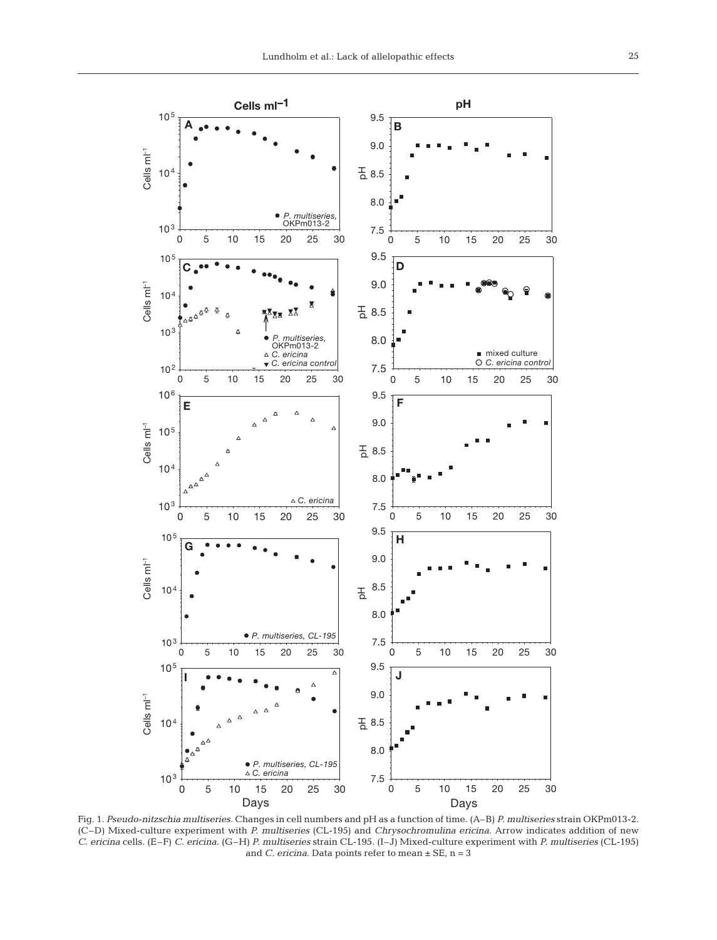

Fig. 1. *Pseudo-nitzschia multiseries*. Changes in cell numbers and pH as a function of time. (A–B) *P. multiseries* strain OKPm013-2. (C–D) Mixed-culture experiment with *P. multiseries* (CL-195) and *Chrysochromulina ericina*. Arrow indicates addition of new *C. ericina* cells. (E–F) *C. ericina*. (G–H) *P. multiseries* strain CL-195. (I–J) Mixed-culture experiment with *P. multiseries* (CL-195) and *C. ericina*. Data points refer to mean ± SE, n = 3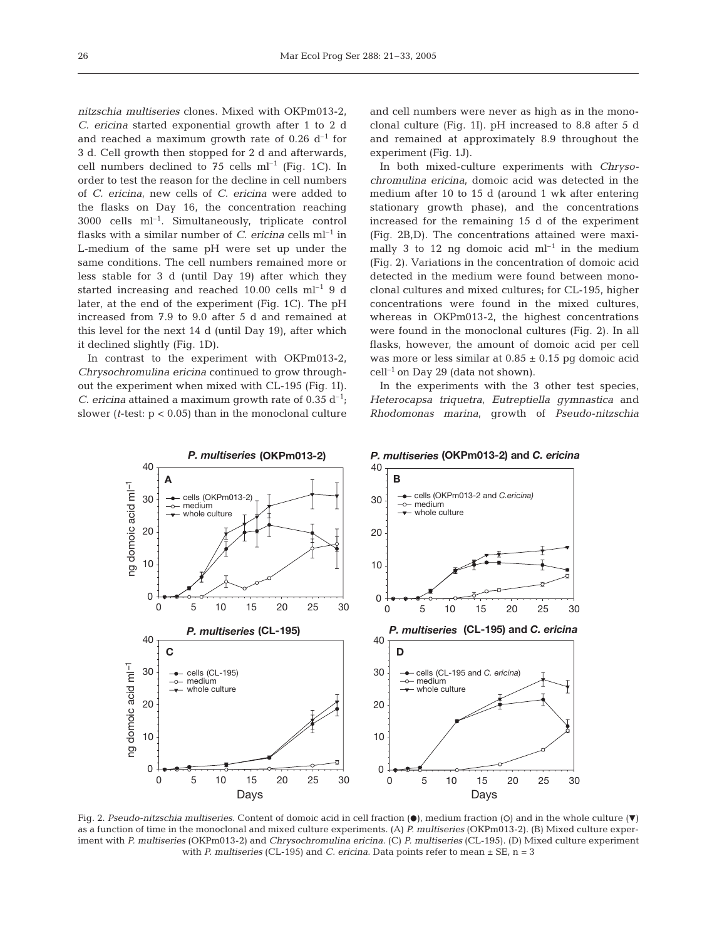*nitzschia multiseries* clones. Mixed with OKPm013-2, *C. ericina* started exponential growth after 1 to 2 d and reached a maximum growth rate of 0.26  $d^{-1}$  for 3 d. Cell growth then stopped for 2 d and afterwards, cell numbers declined to 75 cells  $ml^{-1}$  (Fig. 1C). In order to test the reason for the decline in cell numbers of *C. ericina*, new cells of *C. ericina* were added to the flasks on Day 16, the concentration reaching  $3000$  cells ml<sup>-1</sup>. Simultaneously, triplicate control flasks with a similar number of *C. ericina* cells  $ml^{-1}$  in L-medium of the same pH were set up under the same conditions. The cell numbers remained more or less stable for 3 d (until Day 19) after which they started increasing and reached 10.00 cells  $ml^{-1}$  9 d later, at the end of the experiment (Fig. 1C). The pH increased from 7.9 to 9.0 after 5 d and remained at this level for the next 14 d (until Day 19), after which it declined slightly (Fig. 1D).

In contrast to the experiment with OKPm013-2, *Chrysochromulina ericina* continued to grow throughout the experiment when mixed with CL-195 (Fig. 1I). *C. ericina* attained a maximum growth rate of 0.35  $d^{-1}$ ; slower (*t*-test: p < 0.05) than in the monoclonal culture and cell numbers were never as high as in the monoclonal culture (Fig. 1I). pH increased to 8.8 after 5 d and remained at approximately 8.9 throughout the experiment (Fig. 1J).

In both mixed-culture experiments with *Chrysochromulina ericina*, domoic acid was detected in the medium after 10 to 15 d (around 1 wk after entering stationary growth phase), and the concentrations increased for the remaining 15 d of the experiment (Fig. 2B,D). The concentrations attained were maximally 3 to 12 ng domoic acid  $ml^{-1}$  in the medium (Fig. 2). Variations in the concentration of domoic acid detected in the medium were found between monoclonal cultures and mixed cultures; for CL-195, higher concentrations were found in the mixed cultures, whereas in OKPm013-2, the highest concentrations were found in the monoclonal cultures (Fig. 2). In all flasks, however, the amount of domoic acid per cell was more or less similar at  $0.85 \pm 0.15$  pg domoic acid  $cell^{-1}$  on Day 29 (data not shown).

In the experiments with the 3 other test species, *Heterocapsa triquetra*, *Eutreptiella gymnastica* and *Rhodomonas marina*, growth of *Pseudo-nitzschia*



Fig. 2. *Pseudo-nitzschia multiseries*. Content of domoic acid in cell fraction ( $\bullet$ ), medium fraction (O) and in the whole culture ( $\nabla$ ) as a function of time in the monoclonal and mixed culture experiments. (A) *P. multiseries* (OKPm013-2). (B) Mixed culture experiment with *P. multiseries* (OKPm013-2) and *Chrysochromulina ericina*. (C) *P. multiseries* (CL-195). (D) Mixed culture experiment with *P. multiseries* (CL-195) and *C. ericina*. Data points refer to mean ± SE, n = 3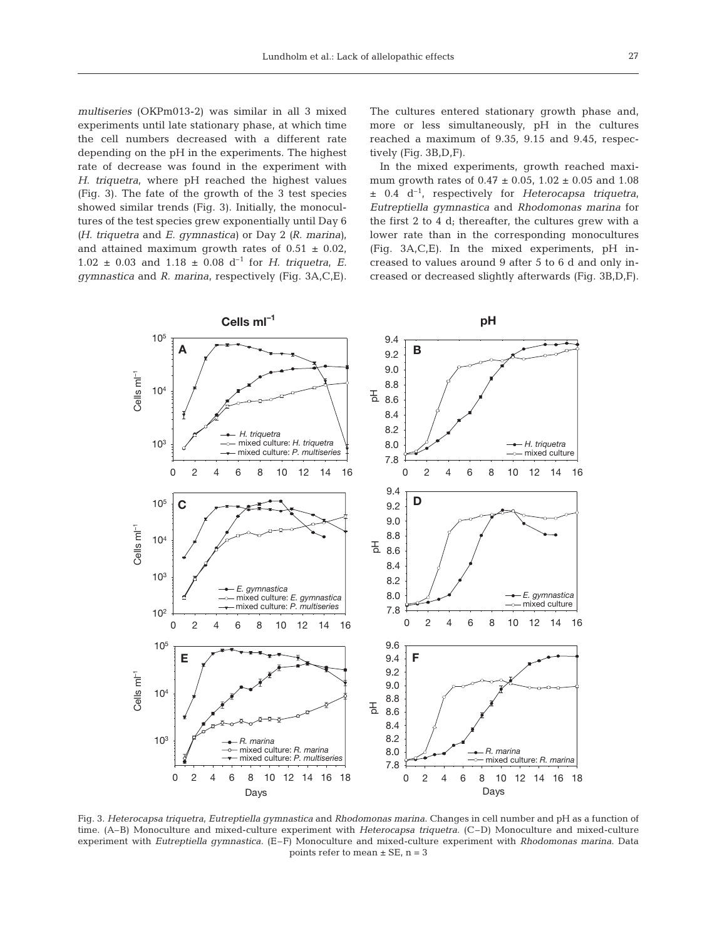*multiseries* (OKPm013-2) was similar in all 3 mixed experiments until late stationary phase, at which time the cell numbers decreased with a different rate depending on the pH in the experiments. The highest rate of decrease was found in the experiment with *H. triquetra*, where pH reached the highest values (Fig. 3). The fate of the growth of the 3 test species showed similar trends (Fig. 3). Initially, the monocultures of the test species grew exponentially until Day 6 *(H. triquetra* and *E. gymnastica)* or Day 2 *(R. marina)*, and attained maximum growth rates of  $0.51 \pm 0.02$ ,  $1.02 \pm 0.03$  and  $1.18 \pm 0.08$  d<sup>-1</sup> for *H. triquetra*, *E. gymnastica* and *R. marina*, respectively (Fig. 3A,C,E). The cultures entered stationary growth phase and, more or less simultaneously, pH in the cultures reached a maximum of 9.35, 9.15 and 9.45, respectively (Fig. 3B,D,F).

In the mixed experiments, growth reached maximum growth rates of  $0.47 \pm 0.05$ ,  $1.02 \pm 0.05$  and  $1.08$ ± 0.4 d–1, respectively for *Heterocapsa triquetra*, *Eutreptiella gymnastica* and *Rhodomonas marina* for the first 2 to 4 d; thereafter, the cultures grew with a lower rate than in the corresponding monocultures (Fig. 3A,C,E). In the mixed experiments, pH increased to values around 9 after 5 to 6 d and only increased or decreased slightly afterwards (Fig. 3B,D,F).



Fig. 3. *Heterocapsa triquetra*, *Eutreptiella gymnastica* and *Rhodomonas marina*. Changes in cell number and pH as a function of time. (A–B) Monoculture and mixed-culture experiment with *Heterocapsa triquetra*. (C–D) Monoculture and mixed-culture experiment with *Eutreptiella gymnastica*. (E–F) Monoculture and mixed-culture experiment with *Rhodomonas marina*. Data points refer to mean  $\pm$  SE, n = 3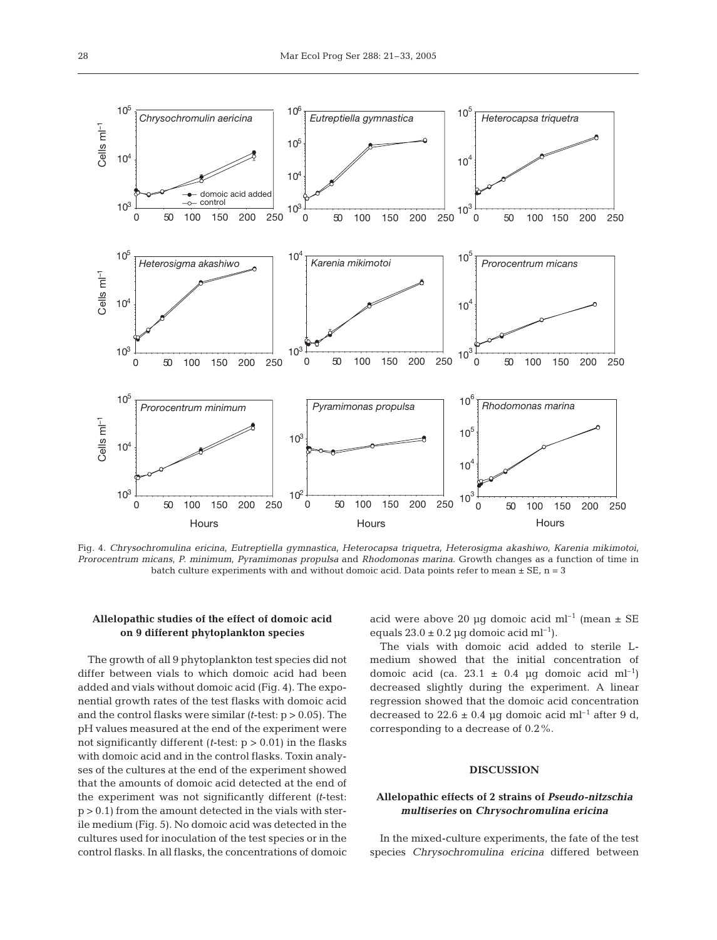

Fig. 4. *Chrysochromulina ericina*, *Eutreptiella gymnastica*, *Heterocapsa triquetra*, *Heterosigma akashiwo*, *Karenia mikimotoi*, *Prorocentrum micans*, *P. minimum*, *Pyramimonas propulsa* and *Rhodomonas marina*. Growth changes as a function of time in batch culture experiments with and without domoic acid. Data points refer to mean  $\pm$  SE, n = 3

# **Allelopathic studies of the effect of domoic acid on 9 different phytoplankton species**

The growth of all 9 phytoplankton test species did not differ between vials to which domoic acid had been added and vials without domoic acid (Fig. 4). The exponential growth rates of the test flasks with domoic acid and the control flasks were similar *(t*-test: p > 0.05). The pH values measured at the end of the experiment were not significantly different (*t*-test: p > 0.01) in the flasks with domoic acid and in the control flasks. Toxin analyses of the cultures at the end of the experiment showed that the amounts of domoic acid detected at the end of the experiment was not significantly different *(t*-test:  $p > 0.1$ ) from the amount detected in the vials with sterile medium (Fig. 5). No domoic acid was detected in the cultures used for inoculation of the test species or in the control flasks. In all flasks, the concentrations of domoic

acid were above 20 µg domoic acid ml<sup>-1</sup> (mean  $\pm$  SE equals  $23.0 \pm 0.2$  µg domoic acid ml<sup>-1</sup>).

The vials with domoic acid added to sterile Lmedium showed that the initial concentration of domoic acid (ca. 23.1  $\pm$  0.4 µg domoic acid ml<sup>-1</sup>) decreased slightly during the experiment. A linear regression showed that the domoic acid concentration decreased to  $22.6 \pm 0.4$  µg domoic acid ml<sup>-1</sup> after 9 d, corresponding to a decrease of 0.2%.

#### **DISCUSSION**

### **Allelopathic effects of 2 strains of** *Pseudo-nitzschia multiseries* **on** *Chrysochromulina ericina*

In the mixed-culture experiments, the fate of the test species *Chrysochromulina ericina* differed between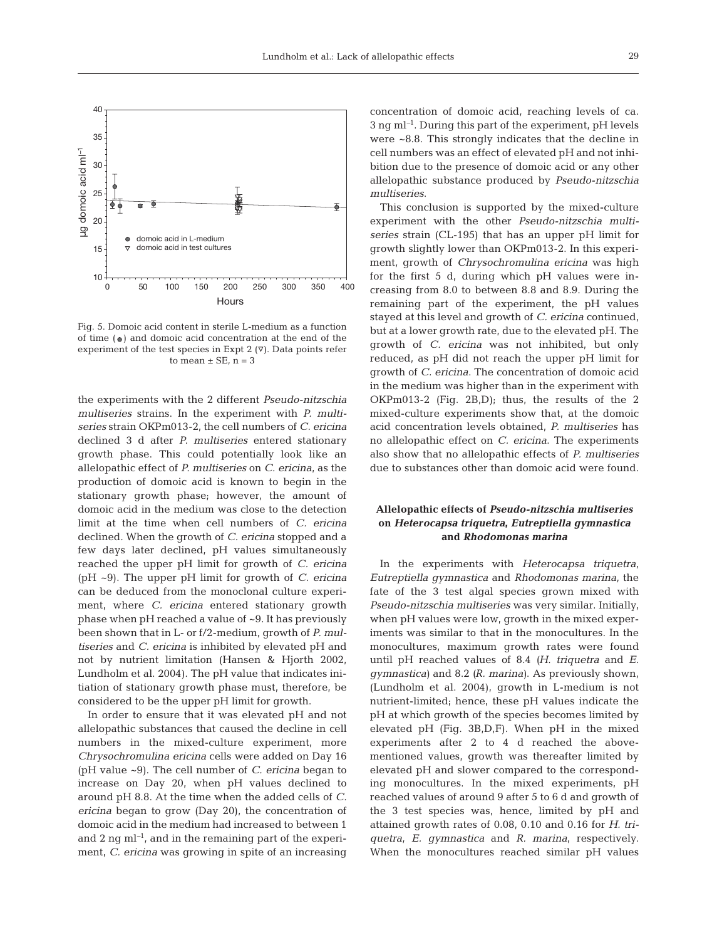

Fig. 5. Domoic acid content in sterile L-medium as a function of time ( ) and domoic acid concentration at the end of the experiment of the test species in Expt 2  $(\nabla)$ . Data points refer to mean  $\pm$  SE, n = 3

the experiments with the 2 different *Pseudo-nitzschia multiseries* strains. In the experiment with *P. multiseries* strain OKPm013-2, the cell numbers of *C. ericina* declined 3 d after *P. multiseries* entered stationary growth phase. This could potentially look like an allelopathic effect of *P. multiseries* on *C. ericina*, as the production of domoic acid is known to begin in the stationary growth phase; however, the amount of domoic acid in the medium was close to the detection limit at the time when cell numbers of *C. ericina* declined. When the growth of *C. ericina* stopped and a few days later declined, pH values simultaneously reached the upper pH limit for growth of *C. ericina* (pH ~9). The upper pH limit for growth of *C. ericina* can be deduced from the monoclonal culture experiment, where *C. ericina* entered stationary growth phase when pH reached a value of ~9. It has previously been shown that in L- or f/2-medium, growth of *P. multiseries* and *C. ericina* is inhibited by elevated pH and not by nutrient limitation (Hansen & Hjorth 2002, Lundholm et al. 2004). The pH value that indicates initiation of stationary growth phase must, therefore, be considered to be the upper pH limit for growth.

In order to ensure that it was elevated pH and not allelopathic substances that caused the decline in cell numbers in the mixed-culture experiment, more *Chrysochromulina ericina* cells were added on Day 16 (pH value ~9). The cell number of *C. ericina* began to increase on Day 20, when pH values declined to around pH 8.8. At the time when the added cells of *C. ericina* began to grow (Day 20), the concentration of domoic acid in the medium had increased to between 1 and 2 ng ml*–*<sup>1</sup> , and in the remaining part of the experiment, *C. ericina* was growing in spite of an increasing

concentration of domoic acid, reaching levels of ca. 3 ng ml*–*<sup>1</sup> . During this part of the experiment, pH levels were ~8.8. This strongly indicates that the decline in cell numbers was an effect of elevated pH and not inhibition due to the presence of domoic acid or any other allelopathic substance produced by *Pseudo-nitzschia multiseries*.

This conclusion is supported by the mixed-culture experiment with the other *Pseudo-nitzschia multiseries* strain (CL-195) that has an upper pH limit for growth slightly lower than OKPm013-2. In this experiment, growth of *Chrysochromulina ericina* was high for the first 5 d, during which pH values were increasing from 8.0 to between 8.8 and 8.9. During the remaining part of the experiment, the pH values stayed at this level and growth of *C. ericina* continued, but at a lower growth rate, due to the elevated pH. The growth of *C. ericina* was not inhibited, but only reduced, as pH did not reach the upper pH limit for growth of *C. ericina*. The concentration of domoic acid in the medium was higher than in the experiment with OKPm013-2 (Fig. 2B,D); thus, the results of the 2 mixed-culture experiments show that, at the domoic acid concentration levels obtained, *P. multiseries* has no allelopathic effect on *C. ericina*. The experiments also show that no allelopathic effects of *P. multiseries* due to substances other than domoic acid were found.

# **Allelopathic effects of** *Pseudo-nitzschia multiseries* **on** *Heterocapsa triquetra***,** *Eutreptiella gymnastica* **and** *Rhodomonas marina*

In the experiments with *Heterocapsa triquetra*, *Eutreptiella gymnastica* and *Rhodomonas marina*, the fate of the 3 test algal species grown mixed with *Pseudo-nitzschia multiseries* was very similar. Initially, when pH values were low, growth in the mixed experiments was similar to that in the monocultures. In the monocultures, maximum growth rates were found until pH reached values of 8.4 *(H. triquetra* and *E. gymnastica)* and 8.2 *(R. marina)*. As previously shown, (Lundholm et al. 2004), growth in L-medium is not nutrient-limited; hence, these pH values indicate the pH at which growth of the species becomes limited by elevated pH (Fig. 3B,D,F). When pH in the mixed experiments after 2 to 4 d reached the abovementioned values, growth was thereafter limited by elevated pH and slower compared to the corresponding monocultures. In the mixed experiments, pH reached values of around 9 after 5 to 6 d and growth of the 3 test species was, hence, limited by pH and attained growth rates of 0.08, 0.10 and 0.16 for *H. triquetra*, *E. gymnastica* and *R. marina*, respectively. When the monocultures reached similar pH values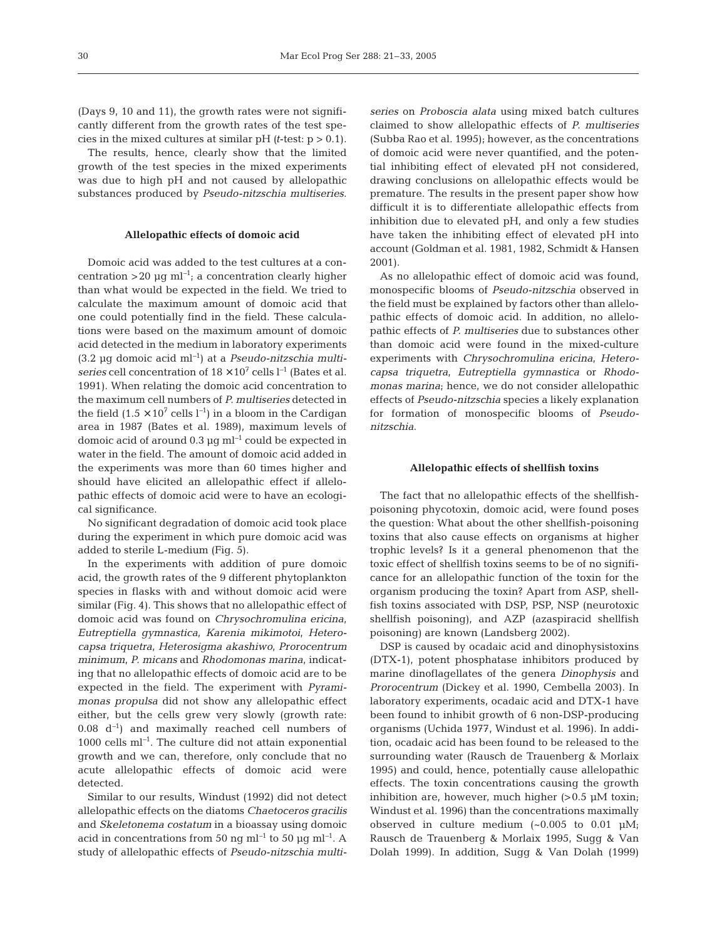(Days 9, 10 and 11), the growth rates were not significantly different from the growth rates of the test species in the mixed cultures at similar  $pH$  *(t*-test:  $p > 0.1$ ).

The results, hence, clearly show that the limited growth of the test species in the mixed experiments was due to high pH and not caused by allelopathic substances produced by *Pseudo-nitzschia multiseries*.

## **Allelopathic effects of domoic acid**

Domoic acid was added to the test cultures at a concentration >20 µg ml*–*<sup>1</sup> ; a concentration clearly higher than what would be expected in the field. We tried to calculate the maximum amount of domoic acid that one could potentially find in the field. These calculations were based on the maximum amount of domoic acid detected in the medium in laboratory experiments (3.2 µg domoic acid ml*–*<sup>1</sup> ) at a *Pseudo-nitzschia multiseries* cell concentration of  $18 \times 10^7$  cells  $l^{-1}$  (Bates et al. 1991). When relating the domoic acid concentration to the maximum cell numbers of *P. multiseries* detected in the field  $(1.5 \times 10^7 \text{ cells } l^{-1})$  in a bloom in the Cardigan area in 1987 (Bates et al. 1989), maximum levels of domoic acid of around 0.3 µg ml*–*<sup>1</sup> could be expected in water in the field. The amount of domoic acid added in the experiments was more than 60 times higher and should have elicited an allelopathic effect if allelopathic effects of domoic acid were to have an ecological significance.

No significant degradation of domoic acid took place during the experiment in which pure domoic acid was added to sterile L-medium (Fig. 5).

In the experiments with addition of pure domoic acid, the growth rates of the 9 different phytoplankton species in flasks with and without domoic acid were similar (Fig. 4). This shows that no allelopathic effect of domoic acid was found on *Chrysochromulina ericina*, *Eutreptiella gymnastica*, *Karenia mikimotoi*, *Heterocapsa triquetra*, *Heterosigma akashiwo*, *Prorocentrum minimum, P. micans* and *Rhodomonas marina*, indicating that no allelopathic effects of domoic acid are to be expected in the field. The experiment with *Pyramimonas propulsa* did not show any allelopathic effect either, but the cells grew very slowly (growth rate: 0.08 d*–*<sup>1</sup> ) and maximally reached cell numbers of 1000 cells ml*–*<sup>1</sup> . The culture did not attain exponential growth and we can, therefore, only conclude that no acute allelopathic effects of domoic acid were detected.

Similar to our results, Windust (1992) did not detect allelopathic effects on the diatoms *Chaetoceros gracilis* and *Skeletonema costatum* in a bioassay using domoic acid in concentrations from 50 ng ml*–*<sup>1</sup> to 50 µg ml*–*<sup>1</sup> . A study of allelopathic effects of *Pseudo-nitzschia multi-* *series* on *Proboscia alata* using mixed batch cultures claimed to show allelopathic effects of *P. multiseries* (Subba Rao et al. 1995); however, as the concentrations of domoic acid were never quantified, and the potential inhibiting effect of elevated pH not considered, drawing conclusions on allelopathic effects would be premature. The results in the present paper show how difficult it is to differentiate allelopathic effects from inhibition due to elevated pH, and only a few studies have taken the inhibiting effect of elevated pH into account (Goldman et al. 1981, 1982, Schmidt & Hansen 2001).

As no allelopathic effect of domoic acid was found, monospecific blooms of *Pseudo-nitzschia* observed in the field must be explained by factors other than allelopathic effects of domoic acid. In addition, no allelopathic effects of *P. multiseries* due to substances other than domoic acid were found in the mixed-culture experiments with *Chrysochromulina ericina*, *Heterocapsa triquetra*, *Eutreptiella gymnastica* or *Rhodomonas marina*; hence, we do not consider allelopathic effects of *Pseudo-nitzschia* species a likely explanation for formation of monospecific blooms of *Pseudonitzschia*.

#### **Allelopathic effects of shellfish toxins**

The fact that no allelopathic effects of the shellfishpoisoning phycotoxin, domoic acid, were found poses the question: What about the other shellfish-poisoning toxins that also cause effects on organisms at higher trophic levels? Is it a general phenomenon that the toxic effect of shellfish toxins seems to be of no significance for an allelopathic function of the toxin for the organism producing the toxin? Apart from ASP, shellfish toxins associated with DSP, PSP, NSP (neurotoxic shellfish poisoning), and AZP (azaspiracid shellfish poisoning) are known (Landsberg 2002).

DSP is caused by ocadaic acid and dinophysistoxins (DTX-1), potent phosphatase inhibitors produced by marine dinoflagellates of the genera *Dinophysis* and *Prorocentrum* (Dickey et al. 1990, Cembella 2003). In laboratory experiments, ocadaic acid and DTX-1 have been found to inhibit growth of 6 non-DSP-producing organisms (Uchida 1977, Windust et al. 1996). In addition, ocadaic acid has been found to be released to the surrounding water (Rausch de Trauenberg & Morlaix 1995) and could, hence, potentially cause allelopathic effects. The toxin concentrations causing the growth inhibition are, however, much higher  $(>0.5 \mu M)$  toxin; Windust et al. 1996) than the concentrations maximally observed in culture medium  $(-0.005$  to  $0.01 \mu M$ ; Rausch de Trauenberg & Morlaix 1995, Sugg & Van Dolah 1999). In addition, Sugg & Van Dolah (1999)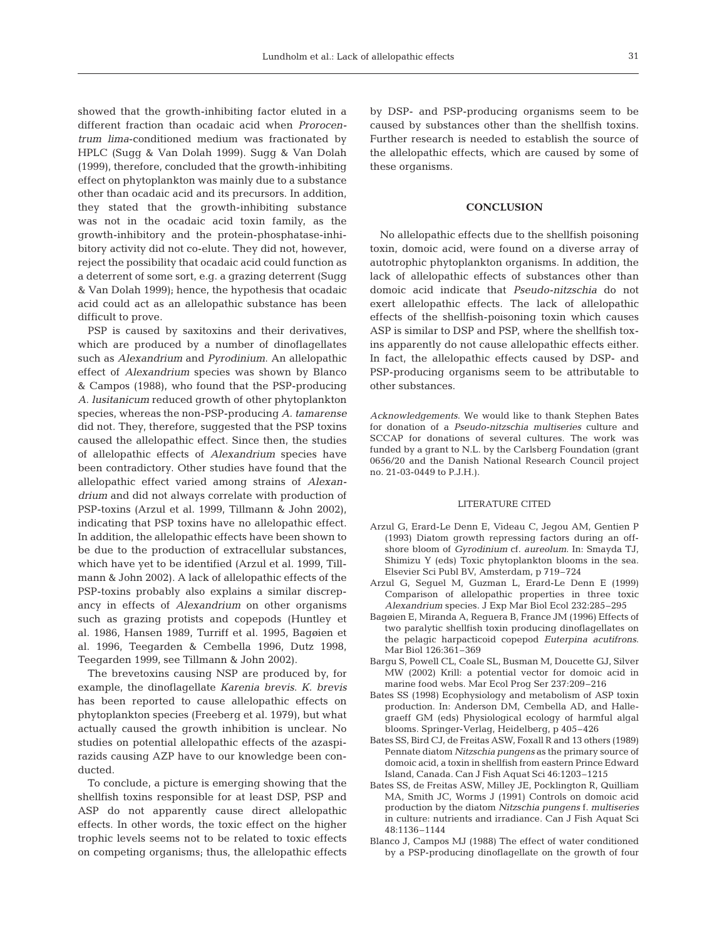showed that the growth-inhibiting factor eluted in a different fraction than ocadaic acid when *Prorocentrum lima*-conditioned medium was fractionated by HPLC (Sugg & Van Dolah 1999). Sugg & Van Dolah (1999), therefore, concluded that the growth-inhibiting effect on phytoplankton was mainly due to a substance other than ocadaic acid and its precursors. In addition, they stated that the growth-inhibiting substance was not in the ocadaic acid toxin family, as the growth-inhibitory and the protein-phosphatase-inhibitory activity did not co-elute. They did not, however, reject the possibility that ocadaic acid could function as a deterrent of some sort, e.g. a grazing deterrent (Sugg & Van Dolah 1999); hence, the hypothesis that ocadaic acid could act as an allelopathic substance has been difficult to prove.

PSP is caused by saxitoxins and their derivatives, which are produced by a number of dinoflagellates such as *Alexandrium* and *Pyrodinium*. An allelopathic effect of *Alexandrium* species was shown by Blanco & Campos (1988), who found that the PSP-producing *A. lusitanicum* reduced growth of other phytoplankton species, whereas the non-PSP-producing *A. tamarense* did not. They, therefore, suggested that the PSP toxins caused the allelopathic effect. Since then, the studies of allelopathic effects of *Alexandrium* species have been contradictory. Other studies have found that the allelopathic effect varied among strains of *Alexandrium* and did not always correlate with production of PSP-toxins (Arzul et al. 1999, Tillmann & John 2002), indicating that PSP toxins have no allelopathic effect. In addition, the allelopathic effects have been shown to be due to the production of extracellular substances, which have yet to be identified (Arzul et al. 1999, Tillmann & John 2002). A lack of allelopathic effects of the PSP-toxins probably also explains a similar discrepancy in effects of *Alexandrium* on other organisms such as grazing protists and copepods (Huntley et al. 1986, Hansen 1989, Turriff et al. 1995, Bagøien et al. 1996, Teegarden & Cembella 1996, Dutz 1998, Teegarden 1999, see Tillmann & John 2002).

The brevetoxins causing NSP are produced by, for example, the dinoflagellate *Karenia brevis*. *K. brevis* has been reported to cause allelopathic effects on phytoplankton species (Freeberg et al. 1979), but what actually caused the growth inhibition is unclear. No studies on potential allelopathic effects of the azaspirazids causing AZP have to our knowledge been conducted.

To conclude, a picture is emerging showing that the shellfish toxins responsible for at least DSP, PSP and ASP do not apparently cause direct allelopathic effects. In other words, the toxic effect on the higher trophic levels seems not to be related to toxic effects on competing organisms; thus, the allelopathic effects

by DSP- and PSP-producing organisms seem to be caused by substances other than the shellfish toxins. Further research is needed to establish the source of the allelopathic effects, which are caused by some of these organisms.

#### **CONCLUSION**

No allelopathic effects due to the shellfish poisoning toxin, domoic acid, were found on a diverse array of autotrophic phytoplankton organisms. In addition, the lack of allelopathic effects of substances other than domoic acid indicate that *Pseudo-nitzschia* do not exert allelopathic effects. The lack of allelopathic effects of the shellfish-poisoning toxin which causes ASP is similar to DSP and PSP, where the shellfish toxins apparently do not cause allelopathic effects either. In fact, the allelopathic effects caused by DSP- and PSP-producing organisms seem to be attributable to other substances.

*Acknowledgements*. We would like to thank Stephen Bates for donation of a *Pseudo-nitzschia multiseries* culture and SCCAP for donations of several cultures. The work was funded by a grant to N.L. by the Carlsberg Foundation (grant 0656/20 and the Danish National Research Council project no. 21-03-0449 to P.J.H.).

#### LITERATURE CITED

- Arzul G, Erard-Le Denn E, Videau C, Jegou AM, Gentien P (1993) Diatom growth repressing factors during an offshore bloom of *Gyrodinium* cf. *aureolum*. In: Smayda TJ, Shimizu Y (eds) Toxic phytoplankton blooms in the sea. Elsevier Sci Publ BV, Amsterdam, p 719–724
- Arzul G, Seguel M, Guzman L, Erard-Le Denn E (1999) Comparison of allelopathic properties in three toxic *Alexandrium* species. J Exp Mar Biol Ecol 232:285–295
- Bagøien E, Miranda A, Reguera B, France JM (1996) Effects of two paralytic shellfish toxin producing dinoflagellates on the pelagic harpacticoid copepod *Euterpina acutifrons*. Mar Biol 126:361–369
- Bargu S, Powell CL, Coale SL, Busman M, Doucette GJ, Silver MW (2002) Krill: a potential vector for domoic acid in marine food webs. Mar Ecol Prog Ser 237:209–216
- Bates SS (1998) Ecophysiology and metabolism of ASP toxin production. In: Anderson DM, Cembella AD, and Hallegraeff GM (eds) Physiological ecology of harmful algal blooms. Springer-Verlag, Heidelberg, p 405–426
- Bates SS, Bird CJ, de Freitas ASW, Foxall R and 13 others (1989) Pennate diatom *Nitzschia pungens* as the primary source of domoic acid, a toxin in shellfish from eastern Prince Edward Island, Canada. Can J Fish Aquat Sci 46:1203–1215
- Bates SS, de Freitas ASW, Milley JE, Pocklington R, Quilliam MA, Smith JC, Worms J (1991) Controls on domoic acid production by the diatom *Nitzschia pungens* f. *multiseries* in culture: nutrients and irradiance. Can J Fish Aquat Sci 48:1136–1144
- Blanco J, Campos MJ (1988) The effect of water conditioned by a PSP-producing dinoflagellate on the growth of four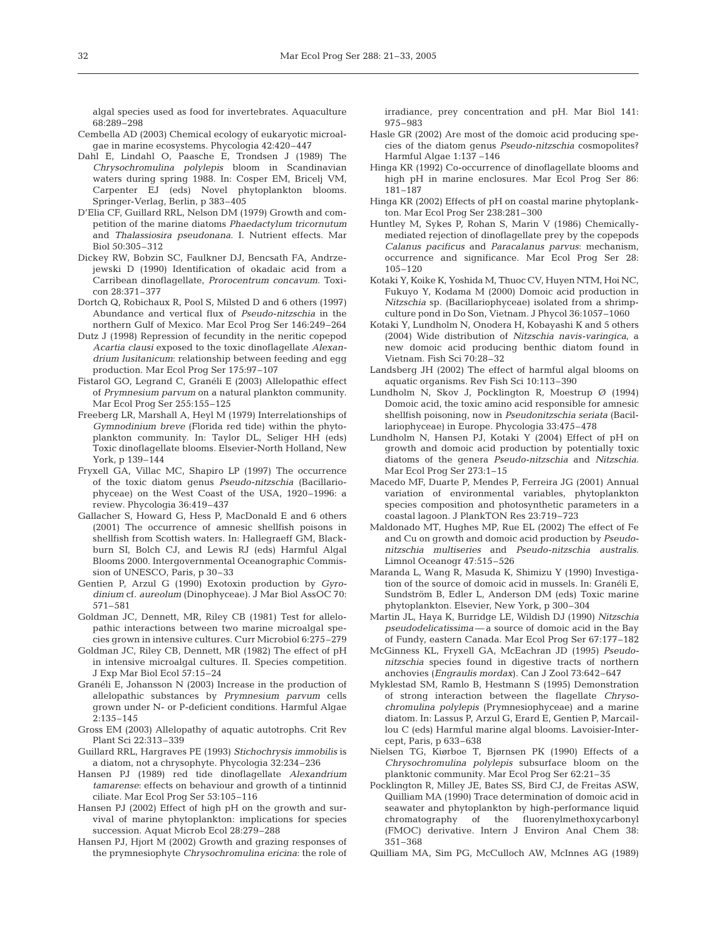algal species used as food for invertebrates. Aquaculture 68:289–298

- Cembella AD (2003) Chemical ecology of eukaryotic microalgae in marine ecosystems. Phycologia 42:420–447
- Dahl E, Lindahl O, Paasche E, Trondsen J (1989) The *Chrysochromulina polylepis* bloom in Scandinavian waters during spring 1988. In: Cosper EM, Bricelj VM, Carpenter EJ (eds) Novel phytoplankton blooms. Springer-Verlag, Berlin, p 383–405
- D'Elia CF, Guillard RRL, Nelson DM (1979) Growth and competition of the marine diatoms *Phaedactylum tricornutum* and *Thalassiosira pseudonana*. I. Nutrient effects. Mar Biol 50:305–312
- Dickey RW, Bobzin SC, Faulkner DJ, Bencsath FA, Andrzejewski D (1990) Identification of okadaic acid from a Carribean dinoflagellate, *Prorocentrum concavum*. Toxicon 28:371–377
- Dortch Q, Robichaux R, Pool S, Milsted D and 6 others (1997) Abundance and vertical flux of *Pseudo-nitzschia* in the northern Gulf of Mexico. Mar Ecol Prog Ser 146:249–264
- Dutz J (1998) Repression of fecundity in the neritic copepod *Acartia clausi* exposed to the toxic dinoflagellate *Alexandrium lusitanicum*: relationship between feeding and egg production. Mar Ecol Prog Ser 175:97–107
- Fistarol GO, Legrand C, Granéli E (2003) Allelopathic effect of *Prymnesium parvum* on a natural plankton community. Mar Ecol Prog Ser 255:155–125
- Freeberg LR, Marshall A, Heyl M (1979) Interrelationships of *Gymnodinium breve* (Florida red tide) within the phytoplankton community. In: Taylor DL, Seliger HH (eds) Toxic dinoflagellate blooms. Elsevier-North Holland, New York, p 139–144
- Fryxell GA, Villac MC, Shapiro LP (1997) The occurrence of the toxic diatom genus *Pseudo-nitzschia* (Bacillariophyceae) on the West Coast of the USA, 1920–1996: a review. Phycologia 36:419–437
- Gallacher S, Howard G, Hess P, MacDonald E and 6 others (2001) The occurrence of amnesic shellfish poisons in shellfish from Scottish waters. In: Hallegraeff GM, Blackburn SI, Bolch CJ, and Lewis RJ (eds) Harmful Algal Blooms 2000. Intergovernmental Oceanographic Commission of UNESCO, Paris, p 30–33
- Gentien P, Arzul G (1990) Exotoxin production by *Gyrodinium* cf. *aureolum* (Dinophyceae). J Mar Biol AssOC 70: 571–581
- Goldman JC, Dennett, MR, Riley CB (1981) Test for allelopathic interactions between two marine microalgal species grown in intensive cultures. Curr Microbiol 6:275–279
- Goldman JC, Riley CB, Dennett, MR (1982) The effect of pH in intensive microalgal cultures. II. Species competition. J Exp Mar Biol Ecol 57:15–24
- Granéli E, Johansson N (2003) Increase in the production of allelopathic substances by *Prymnesium parvum* cells grown under N- or P-deficient conditions. Harmful Algae 2:135–145
- Gross EM (2003) Allelopathy of aquatic autotrophs. Crit Rev Plant Sci 22:313–339
- Guillard RRL, Hargraves PE (1993) *Stichochrysis immobilis* is a diatom, not a chrysophyte. Phycologia 32:234–236
- Hansen PJ (1989) red tide dinoflagellate *Alexandrium tamarense*: effects on behaviour and growth of a tintinnid ciliate. Mar Ecol Prog Ser 53:105–116
- Hansen PJ (2002) Effect of high pH on the growth and survival of marine phytoplankton: implications for species succession. Aquat Microb Ecol 28:279–288
- Hansen PJ, Hjort M (2002) Growth and grazing responses of the prymnesiophyte *Chrysochromulina ericina*: the role of

irradiance, prey concentration and pH. Mar Biol 141: 975–983

- Hasle GR (2002) Are most of the domoic acid producing species of the diatom genus *Pseudo-nitzschia* cosmopolites? Harmful Algae 1:137 –146
- Hinga KR (1992) Co-occurrence of dinoflagellate blooms and high pH in marine enclosures. Mar Ecol Prog Ser 86: 181–187
- Hinga KR (2002) Effects of pH on coastal marine phytoplankton. Mar Ecol Prog Ser 238:281–300
- Huntley M, Sykes P, Rohan S, Marin V (1986) Chemicallymediated rejection of dinoflagellate prey by the copepods *Calanus pacificus* and *Paracalanus parvus*: mechanism, occurrence and significance. Mar Ecol Prog Ser 28: 105–120
- Kotaki Y, Koike K, Yoshida M, Thuoc CV, Huyen NTM, Hoi NC, Fukuyo Y, Kodama M (2000) Domoic acid production in *Nitzschia* sp. (Bacillariophyceae) isolated from a shrimpculture pond in Do Son, Vietnam. J Phycol 36:1057–1060
- Kotaki Y, Lundholm N, Onodera H, Kobayashi K and 5 others (2004) Wide distribution of *Nitzschia navis-varingica*, a new domoic acid producing benthic diatom found in Vietnam. Fish Sci 70:28–32
- Landsberg JH (2002) The effect of harmful algal blooms on aquatic organisms. Rev Fish Sci 10:113–390
- Lundholm N, Skov J, Pocklington R, Moestrup Ø (1994) Domoic acid, the toxic amino acid responsible for amnesic shellfish poisoning, now in *Pseudonitzschia seriata* (Bacillariophyceae) in Europe. Phycologia 33:475–478
- Lundholm N, Hansen PJ, Kotaki Y (2004) Effect of pH on growth and domoic acid production by potentially toxic diatoms of the genera *Pseudo-nitzschia* and *Nitzschia*. Mar Ecol Prog Ser 273:1–15
- Macedo MF, Duarte P, Mendes P, Ferreira JG (2001) Annual variation of environmental variables, phytoplankton species composition and photosynthetic parameters in a coastal lagoon. J PlankTON Res 23:719–723
- Maldonado MT, Hughes MP, Rue EL (2002) The effect of Fe and Cu on growth and domoic acid production by *Pseudonitzschia multiseries* and *Pseudo-nitzschia australis*. Limnol Oceanogr 47:515–526
- Maranda L, Wang R, Masuda K, Shimizu Y (1990) Investigation of the source of domoic acid in mussels. In: Granéli E, Sundström B, Edler L, Anderson DM (eds) Toxic marine phytoplankton. Elsevier, New York, p 300–304
- Martin JL, Haya K, Burridge LE, Wildish DJ (1990) *Nitzschia pseudodelicatissima*— a source of domoic acid in the Bay of Fundy, eastern Canada. Mar Ecol Prog Ser 67:177–182
- McGinness KL, Fryxell GA, McEachran JD (1995) *Pseudonitzschia* species found in digestive tracts of northern anchovies (*Engraulis mordax*). Can J Zool 73:642–647
- Myklestad SM, Ramlo B, Hestmann S (1995) Demonstration of strong interaction between the flagellate *Chrysochromulina polylepis* (Prymnesiophyceae) and a marine diatom. In: Lassus P, Arzul G, Erard E, Gentien P, Marcaillou C (eds) Harmful marine algal blooms. Lavoisier-Intercept, Paris, p 633–638
- Nielsen TG, Kiørboe T, Bjørnsen PK (1990) Effects of a *Chrysochromulina polylepis* subsurface bloom on the planktonic community. Mar Ecol Prog Ser 62:21–35
- Pocklington R, Milley JE, Bates SS, Bird CJ, de Freitas ASW, Quilliam MA (1990) Trace determination of domoic acid in seawater and phytoplankton by high-performance liquid chromatography of the fluorenylmethoxycarbonyl (FMOC) derivative. Intern J Environ Anal Chem 38: 351–368
- Quilliam MA, Sim PG, McCulloch AW, McInnes AG (1989)